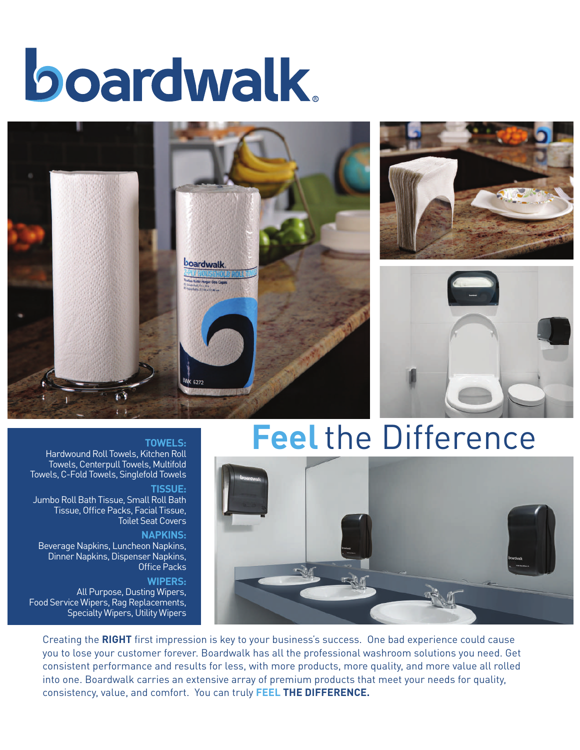# boardwalk.







## **Feel** the Difference

### **TOWELS:**

Hardwound Roll Towels, Kitchen Roll Towels, Centerpull Towels, Multifold Towels, C-Fold Towels, Singlefold Towels

**TISSUE:** 

Jumbo Roll Bath Tissue, Small Roll Bath Tissue, Office Packs, Facial Tissue, Toilet Seat Covers

#### **NAPKINS:**

Beverage Napkins, Luncheon Napkins, Dinner Napkins, Dispenser Napkins, Office Packs

#### **WIPERS:**

All Purpose, Dusting Wipers, Food Service Wipers, Rag Replacements, Specialty Wipers, Utility Wipers



Creating the **RIGHT** first impression is key to your business's success. One bad experience could cause you to lose your customer forever. Boardwalk has all the professional washroom solutions you need. Get consistent performance and results for less, with more products, more quality, and more value all rolled into one. Boardwalk carries an extensive array of premium products that meet your needs for quality, consistency, value, and comfort. You can truly **FEEL THE DIFFERENCE.**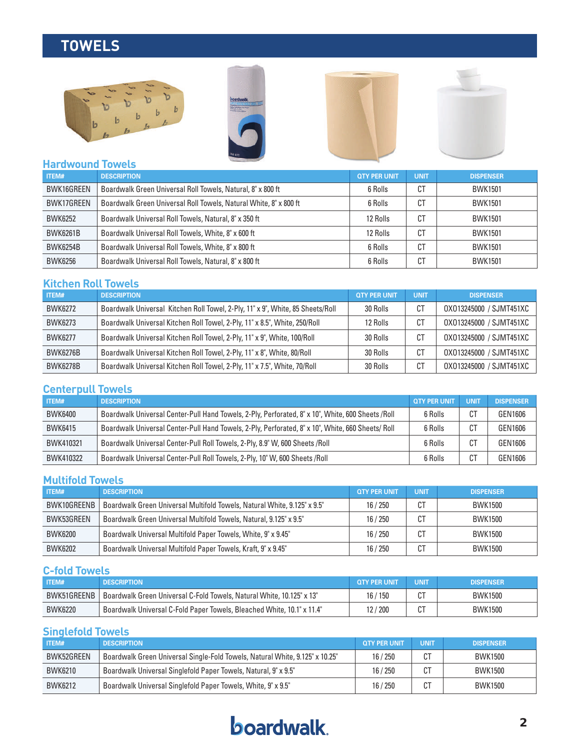### **TOWELS**









### **Hardwound Towels**

| ITEM#           | <b>DESCRIPTION</b>                                                | <b>QTY PER UNIT</b> | <b>UNIT</b> | <b>DISPENSER</b> |
|-----------------|-------------------------------------------------------------------|---------------------|-------------|------------------|
| BWK16GREEN      | Boardwalk Green Universal Roll Towels, Natural, 8" x 800 ft       | 6 Rolls             | СT          | <b>BWK1501</b>   |
| BWK17GREEN      | Boardwalk Green Universal Roll Towels, Natural White, 8" x 800 ft | 6 Rolls             | СT          | <b>BWK1501</b>   |
| <b>BWK6252</b>  | Boardwalk Universal Roll Towels, Natural, 8" x 350 ft             | 12 Rolls            | СT          | <b>BWK1501</b>   |
| <b>BWK6261B</b> | Boardwalk Universal Roll Towels, White, 8" x 600 ft               | 12 Rolls            | СT          | <b>BWK1501</b>   |
| <b>BWK6254B</b> | Boardwalk Universal Roll Towels, White, 8" x 800 ft               | 6 Rolls             | СT          | <b>BWK1501</b>   |
| <b>BWK6256</b>  | Boardwalk Universal Roll Towels, Natural, 8" x 800 ft             | 6 Rolls             | СT          | <b>BWK1501</b>   |

### **Kitchen Roll Towels**

| ITEM#           | <b>DESCRIPTION</b>                                                             | <b>QTY PER UNIT</b> | <b>UNIT</b> | <b>DISPENSER</b>        |
|-----------------|--------------------------------------------------------------------------------|---------------------|-------------|-------------------------|
| <b>BWK6272</b>  | Boardwalk Universal Kitchen Roll Towel, 2-Ply, 11" x 9", White, 85 Sheets/Roll | 30 Rolls            | C1          | 0X013245000 / SJMT451XC |
| <b>BWK6273</b>  | Boardwalk Universal Kitchen Roll Towel, 2-Ply, 11" x 8.5", White, 250/Roll     | 12 Rolls            | СT          | 0X013245000 / SJMT451XC |
| <b>BWK6277</b>  | Boardwalk Universal Kitchen Roll Towel, 2-Ply, 11" x 9", White, 100/Roll       | 30 Rolls            | СT          | 0X013245000 / SJMT451XC |
| <b>BWK6276B</b> | Boardwalk Universal Kitchen Roll Towel, 2-Ply, 11" x 8", White, 80/Roll        | 30 Rolls            | C1          | 0X013245000 / SJMT451XC |
| <b>BWK6278B</b> | Boardwalk Universal Kitchen Roll Towel, 2-Ply, 11" x 7.5", White, 70/Roll      | 30 Rolls            | C1          | 0X013245000 / SJMT451XC |

### **Centerpull Towels**

| ITEM#          | <b>DESCRIPTION</b>                                                                                | <b>OTY PER UNIT</b> | <b>UNIT</b> | <b>DISPENSER</b> |
|----------------|---------------------------------------------------------------------------------------------------|---------------------|-------------|------------------|
| <b>BWK6400</b> | Boardwalk Universal Center-Pull Hand Towels, 2-Ply, Perforated, 8" x 10", White, 600 Sheets /Roll | 6 Rolls             |             | GEN1606          |
| <b>BWK6415</b> | Boardwalk Universal Center-Pull Hand Towels, 2-Ply, Perforated, 8" x 10", White, 660 Sheets/ Roll | 6 Rolls             |             | GEN1606          |
| BWK410321      | Boardwalk Universal Center-Pull Roll Towels, 2-Ply, 8.9" W, 600 Sheets /Roll                      | 6 Rolls             | СT          | GEN1606          |
| BWK410322      | Boardwalk Universal Center-Pull Roll Towels, 2-Ply, 10" W, 600 Sheets /Roll                       | 6 Rolls             |             | GEN1606          |

### **Multifold Towels**

| ITEM#          | <b>DESCRIPTION</b>                                                       | <b>QTY PER UNIT</b> | <b>UNIT</b> | <b>DISPENSER</b> |
|----------------|--------------------------------------------------------------------------|---------------------|-------------|------------------|
| BWK10GREENB    | Boardwalk Green Universal Multifold Towels, Natural White, 9.125" x 9.5" | 16/250              |             | <b>BWK1500</b>   |
| BWK53GREEN     | Boardwalk Green Universal Multifold Towels, Natural, 9.125" x 9.5"       | 16/250              |             | <b>BWK1500</b>   |
| <b>BWK6200</b> | Boardwalk Universal Multifold Paper Towels, White, 9" x 9.45"            | 16/250              |             | <b>BWK1500</b>   |
| <b>BWK6202</b> | Boardwalk Universal Multifold Paper Towels, Kraft, 9" x 9.45"            | 16/250              |             | <b>BWK1500</b>   |

### **C-fold Towels**

| ITEM#          | <b>DESCRIPTION</b>                                                     | <b>OTY PER UNIT</b> | <b>UNIT</b> | <b>DISPENSER</b> |
|----------------|------------------------------------------------------------------------|---------------------|-------------|------------------|
| BWK51GREENB    | Boardwalk Green Universal C-Fold Towels, Natural White, 10.125" x 13"  | ' 150<br>16/        |             | <b>BWK1500</b>   |
| <b>BWK6220</b> | Boardwalk Universal C-Fold Paper Towels, Bleached White, 10.1" x 11.4" | / 200               | ◡           | <b>BWK1500</b>   |

### **Singlefold Towels**

| <b>ITEM#</b>   | <b>DESCRIPTION</b>                                                           | <b>QTY PER UNIT</b> | <b>UNIT</b>     | <b>DISPENSER</b> |
|----------------|------------------------------------------------------------------------------|---------------------|-----------------|------------------|
| BWK52GREEN     | Boardwalk Green Universal Single-Fold Towels, Natural White, 9.125" x 10.25" | 16/250              | <b>CT</b><br>u  | <b>BWK1500</b>   |
| <b>BWK6210</b> | Boardwalk Universal Singlefold Paper Towels, Natural, 9" x 9.5"              | 16/250              | <b>CT</b><br>υł | <b>BWK1500</b>   |
| <b>BWK6212</b> | Boardwalk Universal Singlefold Paper Towels, White, 9" x 9.5"                | 16/250              | $\Gamma$        | <b>BWK1500</b>   |

### **boardwalk**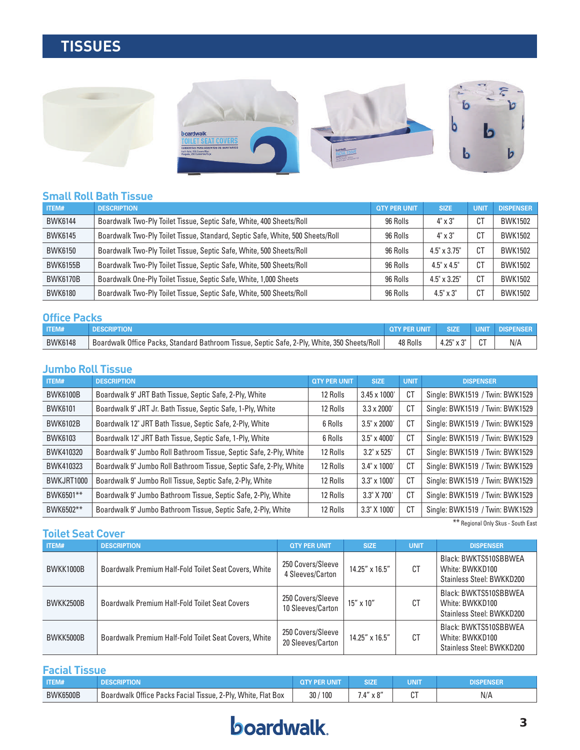### **TISSUES**



### **Small Roll Bath Tissue**

| ITEM#           | <b>DESCRIPTION</b>                                                             | <b>QTY PER UNIT</b> | <b>SIZE</b>         | <b>UNIT</b> | <b>DISPENSER</b> |
|-----------------|--------------------------------------------------------------------------------|---------------------|---------------------|-------------|------------------|
| <b>BWK6144</b>  | Boardwalk Two-Ply Toilet Tissue, Septic Safe, White, 400 Sheets/Roll           | 96 Rolls            | 4" x 3"             | СT          | <b>BWK1502</b>   |
| <b>BWK6145</b>  | Boardwalk Two-Ply Toilet Tissue, Standard, Septic Safe, White, 500 Sheets/Roll | 96 Rolls            | $4" \times 3"$      | СT          | <b>BWK1502</b>   |
| <b>BWK6150</b>  | Boardwalk Two-Ply Toilet Tissue, Septic Safe, White, 500 Sheets/Roll           | 96 Rolls            | $4.5" \times 3.75"$ | СT          | <b>BWK1502</b>   |
| <b>BWK6155B</b> | Boardwalk Two-Ply Toilet Tissue, Septic Safe, White, 500 Sheets/Roll           | 96 Rolls            | $4.5" \times 4.5"$  | СT          | <b>BWK1502</b>   |
| <b>BWK6170B</b> | Boardwalk One-Ply Toilet Tissue, Septic Safe, White, 1,000 Sheets              | 96 Rolls            | $4.5" \times 3.25"$ | СT          | <b>BWK1502</b>   |
| <b>BWK6180</b>  | Boardwalk Two-Ply Toilet Tissue, Septic Safe, White, 500 Sheets/Roll           | 96 Rolls            | $4.5" \times 3"$    | СT          | <b>BWK1502</b>   |

#### **Office Packs**

| _____________  |                                                                                                    |          |             |        |                   |
|----------------|----------------------------------------------------------------------------------------------------|----------|-------------|--------|-------------------|
| ITEM#          |                                                                                                    |          | <b>SIZI</b> | UNIT   | <b>DISPENSER</b>  |
| <b>BWK6148</b> | s, Standard Bathroom Tissue, Septic Safe, 2-Ply, White, 350 Sheets/Roll<br>Boardwalk Office Packs, | 48 Rolls | つぶ<br>t.∠J  | $\sim$ | <b>AII</b><br>N/F |

### **Jumbo Roll Tissue**

| ITEM#           | <b>DESCRIPTION</b>                                                 | <b>QTY PER UNIT</b> | <b>SIZE</b>         | <b>UNIT</b> | <b>DISPENSER</b>                |
|-----------------|--------------------------------------------------------------------|---------------------|---------------------|-------------|---------------------------------|
| <b>BWK6100B</b> | Boardwalk 9" JRT Bath Tissue, Septic Safe, 2-Ply, White            | 12 Rolls            | $3.45 \times 1000'$ | CT          | Single: BWK1519 / Twin: BWK1529 |
| <b>BWK6101</b>  | Boardwalk 9" JRT Jr. Bath Tissue, Septic Safe, 1-Ply, White        | 12 Rolls            | $3.3 \times 2000'$  | CT          | Single: BWK1519 / Twin: BWK1529 |
| <b>BWK6102B</b> | Boardwalk 12" JRT Bath Tissue, Septic Safe, 2-Ply, White           | 6 Rolls             | $3.5" \times 2000'$ | CT          | Single: BWK1519 / Twin: BWK1529 |
| <b>BWK6103</b>  | Boardwalk 12" JRT Bath Tissue, Septic Safe, 1-Ply, White           | 6 Rolls             | $3.5" \times 4000'$ | CT          | Single: BWK1519 / Twin: BWK1529 |
| BWK410320       | Boardwalk 9" Jumbo Roll Bathroom Tissue, Septic Safe, 2-Ply, White | 12 Rolls            | $3.2" \times 525'$  | CT          | Single: BWK1519 / Twin: BWK1529 |
| BWK410323       | Boardwalk 9" Jumbo Roll Bathroom Tissue, Septic Safe, 2-Ply, White | 12 Rolls            | 3.4" x 1000"        | CT          | Single: BWK1519 / Twin: BWK1529 |
| BWKJRT1000      | Boardwalk 9" Jumbo Roll Tissue, Septic Safe, 2-Ply, White          | 12 Rolls            | $3.3" \times 1000'$ | CT          | Single: BWK1519 / Twin: BWK1529 |
| BWK6501**       | Boardwalk 9" Jumbo Bathroom Tissue, Septic Safe, 2-Ply, White      | 12 Rolls            | 3.3" X 700'         | CT          | Single: BWK1519 / Twin: BWK1529 |
| BWK6502**       | Boardwalk 9" Jumbo Bathroom Tissue, Septic Safe, 2-Ply, White      | 12 Rolls            | 3.3" X 1000'        | CT          | Single: BWK1519 / Twin: BWK1529 |

\*\* Regional Only Skus - South East

| <b>Toilet Seat Cover</b> |                                                       |                                        |                    |             |                                                                       |  |  |
|--------------------------|-------------------------------------------------------|----------------------------------------|--------------------|-------------|-----------------------------------------------------------------------|--|--|
| <b>ITEM#</b>             | <b>DESCRIPTION</b>                                    | <b>QTY PER UNIT</b>                    | <b>SIZE</b>        | <b>UNIT</b> | <b>DISPENSER</b>                                                      |  |  |
| BWKK1000B                | Boardwalk Premium Half-Fold Toilet Seat Covers, White | 250 Covers/Sleeve<br>4 Sleeves/Carton  | 14.25" x 16.5"     | СT          | Black: BWKTS510SBBWEA<br>White: BWKKD100<br>Stainless Steel: BWKKD200 |  |  |
| BWKK2500B                | Boardwalk Premium Half-Fold Toilet Seat Covers        | 250 Covers/Sleeve<br>10 Sleeves/Carton | $15'' \times 10''$ | СT          | Black: BWKTS510SBBWEA<br>White: BWKKD100<br>Stainless Steel: BWKKD200 |  |  |
| BWKK5000B                | Boardwalk Premium Half-Fold Toilet Seat Covers, White | 250 Covers/Sleeve<br>20 Sleeves/Carton | 14.25" x 16.5"     | CT          | Black: BWKTS510SBBWEA<br>White: BWKKD100<br>Stainless Steel: BWKKD200 |  |  |

### **Facial Tissue**

| <b>ITEMA</b><br>- I I E IVI# | יני                                                                     | UNIT       |                                       | JNIT   |     |
|------------------------------|-------------------------------------------------------------------------|------------|---------------------------------------|--------|-----|
| <b>BWK6500B</b>              | White.<br>Boardwalk Office<br>e Packs Facial Tissue, 2-Ply,<br>Flat Box | 100<br>30/ | $\sim$<br>$\overline{a}$<br>- A V<br> | ົ<br>ັ | N/A |

### **boardwalk**